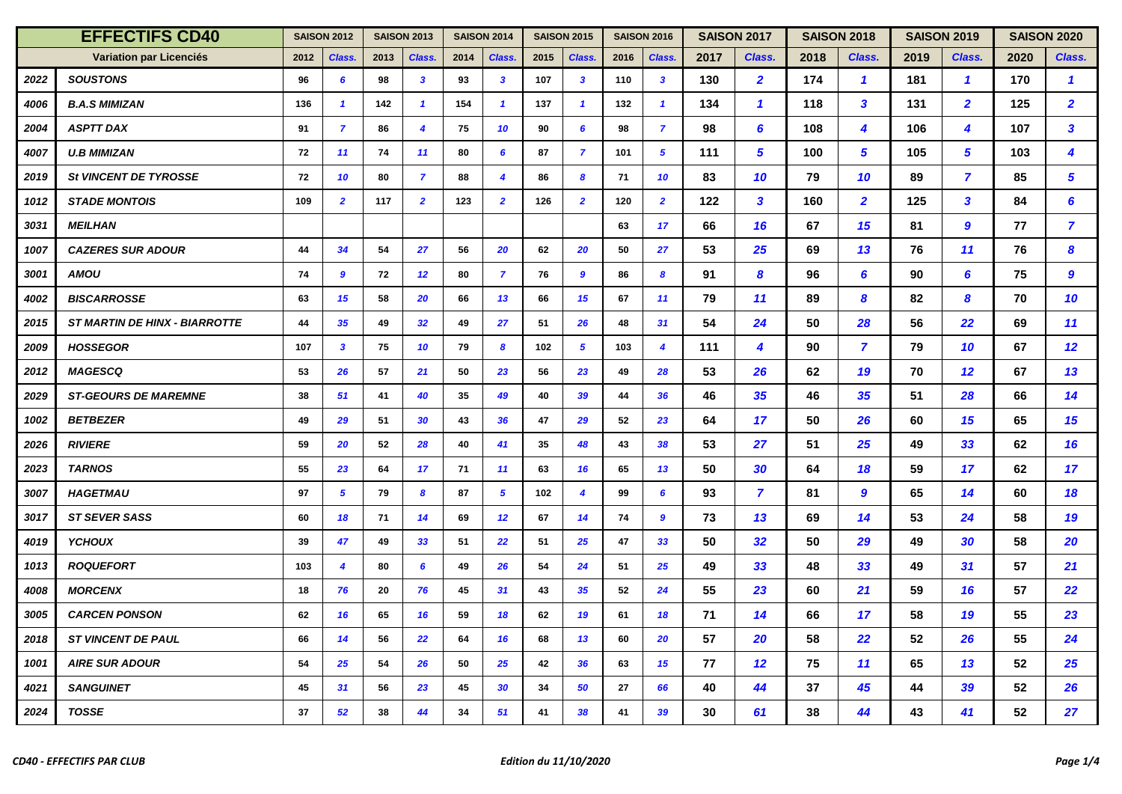| <b>EFFECTIFS CD40</b> |                                      | <b>SAISON 2012</b> |                        | <b>SAISON 2013</b> |                 | <b>SAISON 2014</b> |                         | <b>SAISON 2015</b> |                         | <b>SAISON 2016</b> |                         | <b>SAISON 2017</b> |                | <b>SAISON 2018</b> |                         | <b>SAISON 2019</b> |                         | <b>SAISON 2020</b> |                 |
|-----------------------|--------------------------------------|--------------------|------------------------|--------------------|-----------------|--------------------|-------------------------|--------------------|-------------------------|--------------------|-------------------------|--------------------|----------------|--------------------|-------------------------|--------------------|-------------------------|--------------------|-----------------|
|                       | Variation par Licenciés              | 2012               | Class.                 | 2013               | Class.          | 2014               | Class.                  | 2015               | Class.                  | 2016               | Class.                  | 2017               | Class.         | 2018               | Class.                  | 2019               | Class.                  | 2020               | Class.          |
| 2022                  | <b>SOUSTONS</b>                      | 96                 | 6                      | 98                 | $\mathbf{3}$    | 93                 | $\boldsymbol{3}$        | 107                | $\mathbf{3}$            | 110                | $\overline{\mathbf{3}}$ | 130                | $\overline{2}$ | 174                | $\mathbf{1}$            | 181                | $\mathbf{1}$            | 170                | $\mathbf{1}$    |
| 4006                  | <b>B.A.S MIMIZAN</b>                 | 136                | $\mathbf{1}$           | 142                | $\mathbf{1}$    | 154                | $\overline{\mathbf{1}}$ | 137                | $\mathbf{1}$            | 132                | $\mathbf{1}$            | 134                | $\mathbf{1}$   | 118                | $\mathbf{3}$            | 131                | $\overline{2}$          | 125                | $\overline{2}$  |
| 2004                  | <b>ASPTT DAX</b>                     | 91                 | $\overline{7}$         | 86                 | $\overline{4}$  | 75                 | 10                      | 90                 | $6\overline{6}$         | 98                 | $\overline{z}$          | 98                 | 6              | 108                | $\overline{\mathbf{4}}$ | 106                | $\overline{\mathbf{4}}$ | 107                | $\mathbf{3}$    |
| 4007                  | <b>U.B MIMIZAN</b>                   | 72                 | 11                     | 74                 | 11              | 80                 | 6                       | 87                 | $\overline{7}$          | 101                | $5^{\circ}$             | 111                | 5              | 100                | $\sqrt{5}$              | 105                | $5^{\circ}$             | 103                | 4               |
| 2019                  | St VINCENT DE TYROSSE                | 72                 | 10                     | 80                 | $\overline{7}$  | 88                 | $\overline{\mathbf{4}}$ | 86                 | $\boldsymbol{8}$        | 71                 | 10                      | 83                 | 10             | 79                 | 10                      | 89                 | $\overline{7}$          | 85                 | 5               |
| 1012                  | <b>STADE MONTOIS</b>                 | 109                | $\overline{2}$         | 117                | $\overline{2}$  | 123                | $\overline{2}$          | 126                | $\overline{2}$          | 120                | $\overline{2}$          | 122                | 3              | 160                | $\overline{2}$          | 125                | $\mathbf{3}$            | 84                 | 6               |
| 3031                  | <b>MEILHAN</b>                       |                    |                        |                    |                 |                    |                         |                    |                         | 63                 | 17                      | 66                 | 16             | 67                 | 15                      | 81                 | 9                       | 77                 | $\overline{7}$  |
| 1007                  | <b>CAZERES SUR ADOUR</b>             | 44                 | 34                     | 54                 | 27              | 56                 | 20                      | 62                 | 20                      | 50                 | 27                      | 53                 | 25             | 69                 | 13                      | 76                 | 11                      | 76                 | 8               |
| 3001                  | AMOU                                 | 74                 | 9                      | 72                 | 12              | 80                 | $\overline{7}$          | 76                 | 9                       | 86                 | 8                       | 91                 | 8              | 96                 | 6                       | 90                 | 6                       | 75                 | 9               |
| 4002                  | <b>BISCARROSSE</b>                   | 63                 | 15                     | 58                 | 20              | 66                 | 13                      | 66                 | 15                      | 67                 | 11                      | 79                 | 11             | 89                 | 8                       | 82                 | 8                       | 70                 | 10              |
| 2015                  | <b>ST MARTIN DE HINX - BIARROTTE</b> | 44                 | 35                     | 49                 | 32 <sub>2</sub> | 49                 | 27                      | 51                 | 26                      | 48                 | 31                      | 54                 | 24             | 50                 | 28                      | 56                 | 22                      | 69                 | 11              |
| 2009                  | <b>HOSSEGOR</b>                      | 107                | 3                      | 75                 | 10              | 79                 | 8                       | 102                | $5^{\circ}$             | 103                | $\boldsymbol{4}$        | 111                | 4              | 90                 | $\overline{ }$          | 79                 | 10                      | 67                 | 12              |
| 2012                  | <b>MAGESCQ</b>                       | 53                 | 26                     | 57                 | 21              | 50                 | 23                      | 56                 | 23                      | 49                 | 28                      | 53                 | 26             | 62                 | 19                      | 70                 | 12                      | 67                 | 13              |
| 2029                  | <b>ST-GEOURS DE MAREMNE</b>          | 38                 | 51                     | 41                 | 40              | 35                 | 49                      | 40                 | 39                      | 44                 | 36                      | 46                 | 35             | 46                 | 35                      | 51                 | 28                      | 66                 | 14              |
| 1002                  | <b>BETBEZER</b>                      | 49                 | 29                     | 51                 | 30              | 43                 | 36                      | 47                 | 29                      | 52                 | 23                      | 64                 | 17             | 50                 | 26                      | 60                 | 15                      | 65                 | 15              |
| 2026                  | <b>RIVIERE</b>                       | 59                 | 20                     | 52                 | 28              | 40                 | 41                      | 35                 | 48                      | 43                 | 38                      | 53                 | 27             | 51                 | 25                      | 49                 | 33 <sup>3</sup>         | 62                 | 16              |
| 2023                  | <b>TARNOS</b>                        | 55                 | 23                     | 64                 | 17              | 71                 | 11                      | 63                 | 16                      | 65                 | 13                      | 50                 | 30             | 64                 | 18                      | 59                 | 17                      | 62                 | 17 <sub>2</sub> |
| 3007                  | <b>HAGETMAU</b>                      | 97                 | 5                      | 79                 | 8               | 87                 | 5                       | 102                | $\overline{\mathbf{4}}$ | 99                 | 6                       | 93                 | $\overline{7}$ | 81                 | 9                       | 65                 | 14                      | 60                 | 18              |
| 3017                  | <b>ST SEVER SASS</b>                 | 60                 | 18                     | 71                 | 14              | 69                 | 12                      | 67                 | 14                      | 74                 | 9                       | 73                 | 13             | 69                 | 14                      | 53                 | 24                      | 58                 | 19              |
| 4019                  | <b>YCHOUX</b>                        | 39                 | 47                     | 49                 | 33              | 51                 | 22                      | 51                 | 25                      | 47                 | 33                      | 50                 | 32             | 50                 | 29                      | 49                 | 30                      | 58                 | 20              |
| 1013                  | <b>ROQUEFORT</b>                     | 103                | $\boldsymbol{\Lambda}$ | 80                 | 6               | 49                 | 26                      | 54                 | 24                      | 51                 | 25                      | 49                 | 33             | 48                 | 33                      | 49                 | 31                      | 57                 | 21              |
| 4008                  | <b>MORCENX</b>                       | 18                 | 76                     | 20                 | 76              | 45                 | 31                      | 43                 | 35                      | 52                 | 24                      | 55                 | 23             | 60                 | 21                      | 59                 | 16                      | 57                 | 22              |
| 3005                  | <b>CARCEN PONSON</b>                 | 62                 | 16                     | 65                 | 16              | 59                 | 18                      | 62                 | 19                      | 61                 | 18                      | 71                 | 14             | 66                 | 17                      | 58                 | 19                      | 55                 | 23              |
| 2018                  | <b>ST VINCENT DE PAUL</b>            | 66                 | 14                     | 56                 | 22              | 64                 | 16                      | 68                 | 13                      | 60                 | 20                      | 57                 | 20             | 58                 | 22                      | 52                 | 26                      | 55                 | 24              |
| 1001                  | <b>AIRE SUR ADOUR</b>                | 54                 | 25                     | 54                 | 26              | 50                 | 25                      | 42                 | 36                      | 63                 | 15 <sub>15</sub>        | 77                 | 12             | 75                 | 11                      | 65                 | 13                      | 52                 | 25              |
| 4021                  | <b>SANGUINET</b>                     | 45                 | 31                     | 56                 | 23              | 45                 | 30                      | 34                 | 50                      | 27                 | 66                      | 40                 | 44             | 37                 | 45                      | 44                 | 39                      | 52                 | 26              |
| 2024                  | <b>TOSSE</b>                         | 37                 | 52                     | 38                 | 44              | 34                 | 51                      | 41                 | 38                      | 41                 | 39                      | 30                 | 61             | 38                 | 44                      | 43                 | 41                      | 52                 | 27              |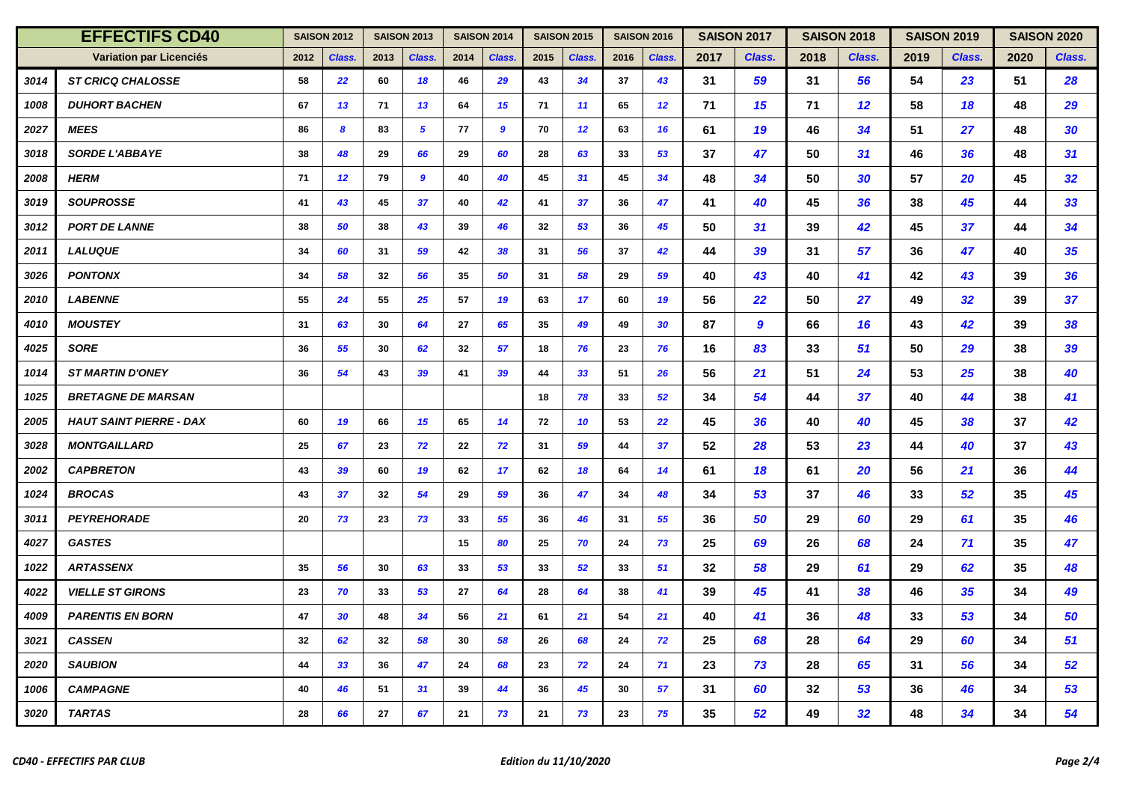| <b>EFFECTIFS CD40</b> |                                | <b>SAISON 2012</b> |        | <b>SAISON 2013</b> |                  | <b>SAISON 2014</b> |        | <b>SAISON 2015</b> |        | <b>SAISON 2016</b> |                 | <b>SAISON 2017</b> |                  | <b>SAISON 2018</b> |        | <b>SAISON 2019</b> |        | <b>SAISON 2020</b> |        |
|-----------------------|--------------------------------|--------------------|--------|--------------------|------------------|--------------------|--------|--------------------|--------|--------------------|-----------------|--------------------|------------------|--------------------|--------|--------------------|--------|--------------------|--------|
|                       | Variation par Licenciés        | 2012               | Class. | 2013               | Class.           | 2014               | Class. | 2015               | Class. | 2016               | Class.          | 2017               | Class.           | 2018               | Class. | 2019               | Class. | 2020               | Class. |
| 3014                  | <b>ST CRICQ CHALOSSE</b>       | 58                 | 22     | 60                 | 18               | 46                 | 29     | 43                 | 34     | 37                 | 43              | 31                 | 59               | 31                 | 56     | 54                 | 23     | 51                 | 28     |
| 1008                  | <b>DUHORT BACHEN</b>           | 67                 | 13     | 71                 | 13               | 64                 | 15     | 71                 | 11     | 65                 | 12 <sup>2</sup> | 71                 | 15               | 71                 | 12     | 58                 | 18     | 48                 | 29     |
| 2027                  | <b>MEES</b>                    | 86                 | 8      | 83                 | $5^{\circ}$      | 77                 | 9      | 70                 | 12     | 63                 | 16              | 61                 | 19               | 46                 | 34     | 51                 | 27     | 48                 | 30     |
| 3018                  | <b>SORDE L'ABBAYE</b>          | 38                 | 48     | 29                 | 66               | 29                 | 60     | 28                 | 63     | 33                 | 53              | 37                 | 47               | 50                 | 31     | 46                 | 36     | 48                 | 31     |
| 2008                  | <b>HERM</b>                    | 71                 | 12     | 79                 | $\boldsymbol{9}$ | 40                 | 40     | 45                 | 31     | 45                 | 34              | 48                 | 34               | 50                 | 30     | 57                 | 20     | 45                 | 32     |
| 3019                  | <b>SOUPROSSE</b>               | 41                 | 43     | 45                 | 37               | 40                 | 42     | 41                 | 37     | 36                 | 47              | 41                 | 40               | 45                 | 36     | 38                 | 45     | 44                 | 33     |
| 3012                  | <b>PORT DE LANNE</b>           | 38                 | 50     | 38                 | 43               | 39                 | 46     | 32                 | 53     | 36                 | 45              | 50                 | 31               | 39                 | 42     | 45                 | 37     | 44                 | 34     |
| 2011                  | <b>LALUQUE</b>                 | 34                 | 60     | 31                 | 59               | 42                 | 38     | 31                 | 56     | 37                 | 42              | 44                 | 39               | 31                 | 57     | 36                 | 47     | 40                 | 35     |
| 3026                  | <b>PONTONX</b>                 | 34                 | 58     | 32                 | 56               | 35                 | 50     | 31                 | 58     | 29                 | 59              | 40                 | 43               | 40                 | 41     | 42                 | 43     | 39                 | 36     |
| 2010                  | <b>LABENNE</b>                 | 55                 | 24     | 55                 | 25               | 57                 | 19     | 63                 | 17     | 60                 | 19              | 56                 | 22               | 50                 | 27     | 49                 | 32     | 39                 | 37     |
| 4010                  | <b>MOUSTEY</b>                 | 31                 | 63     | 30                 | 64               | 27                 | 65     | 35                 | 49     | 49                 | 30              | 87                 | $\boldsymbol{9}$ | 66                 | 16     | 43                 | 42     | 39                 | 38     |
| 4025                  | <b>SORE</b>                    | 36                 | 55     | 30                 | 62               | 32                 | 57     | 18                 | 76     | 23                 | 76              | 16                 | 83               | 33                 | 51     | 50                 | 29     | 38                 | 39     |
| 1014                  | <b>ST MARTIN D'ONEY</b>        | 36                 | 54     | 43                 | 39               | 41                 | 39     | 44                 | 33     | 51                 | 26              | 56                 | 21               | 51                 | 24     | 53                 | 25     | 38                 | 40     |
| 1025                  | <b>BRETAGNE DE MARSAN</b>      |                    |        |                    |                  |                    |        | 18                 | 78     | 33                 | 52              | 34                 | 54               | 44                 | 37     | 40                 | 44     | 38                 | 41     |
| 2005                  | <b>HAUT SAINT PIERRE - DAX</b> | 60                 | 19     | 66                 | 15               | 65                 | 14     | 72                 | 10     | 53                 | 22              | 45                 | 36               | 40                 | 40     | 45                 | 38     | 37                 | 42     |
| 3028                  | <b>MONTGAILLARD</b>            | 25                 | 67     | 23                 | 72               | 22                 | 72     | 31                 | 59     | 44                 | 37              | 52                 | 28               | 53                 | 23     | 44                 | 40     | 37                 | 43     |
| 2002                  | <b>CAPBRETON</b>               | 43                 | 39     | 60                 | 19               | 62                 | 17     | 62                 | 18     | 64                 | 14              | 61                 | 18               | 61                 | 20     | 56                 | 21     | 36                 | 44     |
| 1024                  | <b>BROCAS</b>                  | 43                 | 37     | 32                 | 54               | 29                 | 59     | 36                 | 47     | 34                 | 48              | 34                 | 53               | 37                 | 46     | 33                 | 52     | 35                 | 45     |
| 3011                  | <b>PEYREHORADE</b>             | 20                 | 73     | 23                 | 73               | 33                 | 55     | 36                 | 46     | 31                 | 55              | 36                 | 50               | 29                 | 60     | 29                 | 61     | 35                 | 46     |
| 4027                  | <b>GASTES</b>                  |                    |        |                    |                  | 15                 | 80     | 25                 | 70     | 24                 | 73              | 25                 | 69               | 26                 | 68     | 24                 | 71     | 35                 | 47     |
| 1022                  | <b>ARTASSENX</b>               | 35                 | 56     | 30                 | 63               | 33                 | 53     | 33                 | 52     | 33                 | 51              | 32                 | 58               | 29                 | 61     | 29                 | 62     | 35                 | 48     |
| 4022                  | <b>VIELLE ST GIRONS</b>        | 23                 | 70     | 33                 | 53               | 27                 | 64     | 28                 | 64     | 38                 | 41              | 39                 | 45               | 41                 | 38     | 46                 | 35     | 34                 | 49     |
| 4009                  | <b>PARENTIS EN BORN</b>        | 47                 | 30     | 48                 | 34               | 56                 | 21     | 61                 | 21     | 54                 | 21              | 40                 | 41               | 36                 | 48     | 33                 | 53     | 34                 | 50     |
| 3021                  | <b>CASSEN</b>                  | 32                 | 62     | 32                 | 58               | 30                 | 58     | 26                 | 68     | 24                 | 72              | 25                 | 68               | 28                 | 64     | 29                 | 60     | 34                 | 51     |
| 2020                  | <b>SAUBION</b>                 | 44                 | 33     | 36                 | 47               | 24                 | 68     | 23                 | 72     | 24                 | 71              | 23                 | 73               | 28                 | 65     | 31                 | 56     | 34                 | 52     |
| 1006                  | <b>CAMPAGNE</b>                | 40                 | 46     | 51                 | 31               | 39                 | 44     | 36                 | 45     | 30                 | 57              | 31                 | 60               | 32                 | 53     | 36                 | 46     | 34                 | 53     |
| 3020                  | <b>TARTAS</b>                  | 28                 | 66     | 27                 | 67               | 21                 | 73     | 21                 | 73     | 23                 | 75              | 35                 | 52               | 49                 | 32     | 48                 | 34     | 34                 | 54     |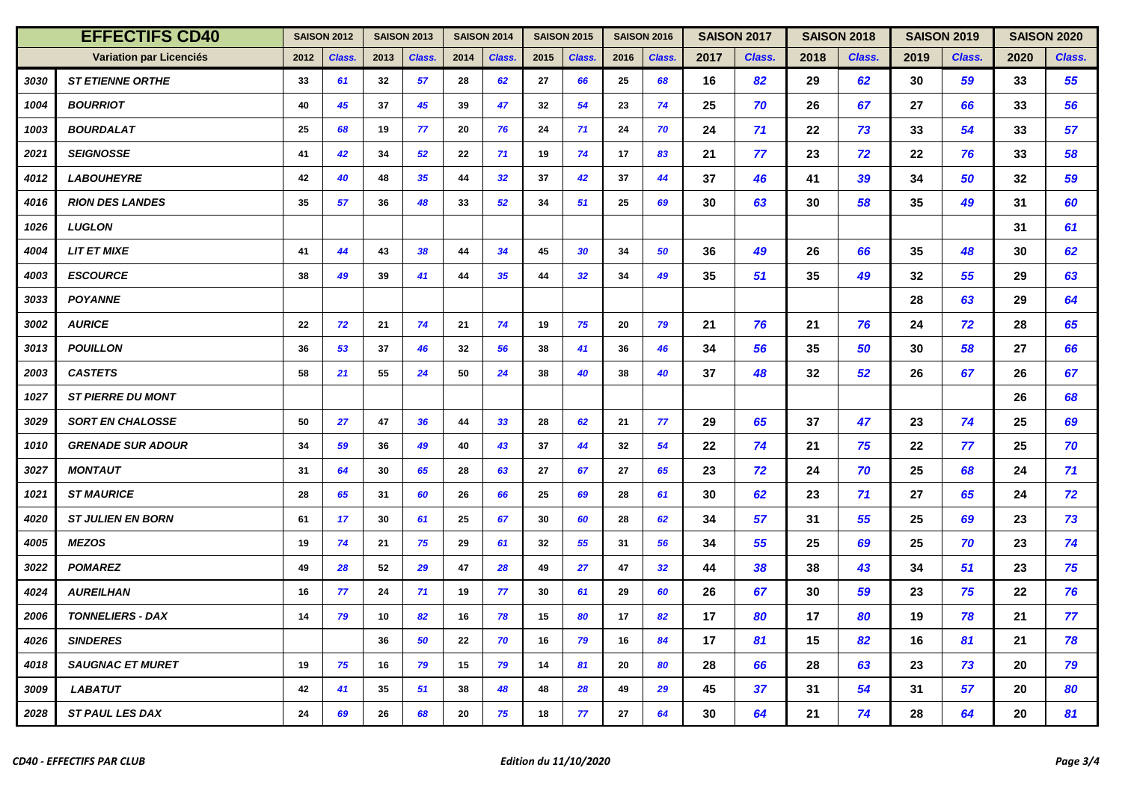| <b>EFFECTIFS CD40</b> |                          | <b>SAISON 2012</b> |        | <b>SAISON 2013</b> |        | <b>SAISON 2014</b> |                 | <b>SAISON 2015</b> |        | <b>SAISON 2016</b> |                 | <b>SAISON 2017</b> |        | <b>SAISON 2018</b> |        | <b>SAISON 2019</b> |        | <b>SAISON 2020</b> |        |
|-----------------------|--------------------------|--------------------|--------|--------------------|--------|--------------------|-----------------|--------------------|--------|--------------------|-----------------|--------------------|--------|--------------------|--------|--------------------|--------|--------------------|--------|
|                       | Variation par Licenciés  | 2012               | Class. | 2013               | Class. | 2014               | Class.          | 2015               | Class. | 2016               | Class.          | 2017               | Class. | 2018               | Class. | 2019               | Class. | 2020               | Class. |
| 3030                  | <b>ST ETIENNE ORTHE</b>  | 33                 | 61     | 32                 | 57     | 28                 | 62              | 27                 | 66     | 25                 | 68              | 16                 | 82     | 29                 | 62     | 30                 | 59     | 33                 | 55     |
| 1004                  | <b>BOURRIOT</b>          | 40                 | 45     | 37                 | 45     | 39                 | 47              | 32                 | 54     | 23                 | 74              | 25                 | 70     | 26                 | 67     | 27                 | 66     | 33                 | 56     |
| 1003                  | <b>BOURDALAT</b>         | 25                 | 68     | 19                 | 77     | 20                 | 76              | 24                 | 71     | 24                 | 70              | 24                 | 71     | 22                 | 73     | 33                 | 54     | 33                 | 57     |
| 2021                  | <b>SEIGNOSSE</b>         | 41                 | 42     | 34                 | 52     | 22                 | 71              | 19                 | 74     | 17                 | 83              | 21                 | 77     | 23                 | 72     | 22                 | 76     | 33                 | 58     |
| 4012                  | <b>LABOUHEYRE</b>        | 42                 | 40     | 48                 | 35     | 44                 | 32 <sub>2</sub> | 37                 | 42     | 37                 | 44              | 37                 | 46     | 41                 | 39     | 34                 | 50     | 32                 | 59     |
| 4016                  | <b>RION DES LANDES</b>   | 35                 | 57     | 36                 | 48     | 33                 | 52              | 34                 | 51     | 25                 | 69              | 30                 | 63     | 30                 | 58     | 35                 | 49     | 31                 | 60     |
| 1026                  | <b>LUGLON</b>            |                    |        |                    |        |                    |                 |                    |        |                    |                 |                    |        |                    |        |                    |        | 31                 | 61     |
| 4004                  | <b>LIT ET MIXE</b>       | 41                 | 44     | 43                 | 38     | 44                 | 34              | 45                 | 30     | 34                 | 50              | 36                 | 49     | 26                 | 66     | 35                 | 48     | 30                 | 62     |
| 4003                  | <b>ESCOURCE</b>          | 38                 | 49     | 39                 | 41     | 44                 | 35 <sub>5</sub> | 44                 | 32     | 34                 | 49              | 35                 | 51     | 35                 | 49     | 32                 | 55     | 29                 | 63     |
| 3033                  | <b>POYANNE</b>           |                    |        |                    |        |                    |                 |                    |        |                    |                 |                    |        |                    |        | 28                 | 63     | 29                 | 64     |
| 3002                  | <b>AURICE</b>            | 22                 | 72     | 21                 | 74     | 21                 | 74              | 19                 | 75     | 20                 | 79              | 21                 | 76     | 21                 | 76     | 24                 | 72     | 28                 | 65     |
| 3013                  | <b>POUILLON</b>          | 36                 | 53     | 37                 | 46     | 32                 | 56              | 38                 | 41     | 36                 | 46              | 34                 | 56     | 35                 | 50     | 30                 | 58     | 27                 | 66     |
| 2003                  | <b>CASTETS</b>           | 58                 | 21     | 55                 | 24     | 50                 | 24              | 38                 | 40     | 38                 | 40              | 37                 | 48     | 32                 | 52     | 26                 | 67     | 26                 | 67     |
| 1027                  | <b>ST PIERRE DU MONT</b> |                    |        |                    |        |                    |                 |                    |        |                    |                 |                    |        |                    |        |                    |        | 26                 | 68     |
| 3029                  | <b>SORT EN CHALOSSE</b>  | 50                 | 27     | 47                 | 36     | 44                 | 33 <sup>3</sup> | 28                 | 62     | 21                 | 77              | 29                 | 65     | 37                 | 47     | 23                 | 74     | 25                 | 69     |
| 1010                  | <b>GRENADE SUR ADOUR</b> | 34                 | 59     | 36                 | 49     | 40                 | 43              | 37                 | 44     | 32                 | 54              | 22                 | 74     | 21                 | 75     | 22                 | 77     | 25                 | 70     |
| 3027                  | <b>MONTAUT</b>           | 31                 | 64     | 30                 | 65     | 28                 | 63              | 27                 | 67     | 27                 | 65              | 23                 | 72     | 24                 | 70     | 25                 | 68     | 24                 | 71     |
| 1021                  | <b>ST MAURICE</b>        | 28                 | 65     | 31                 | 60     | 26                 | 66              | 25                 | 69     | 28                 | 61              | 30                 | 62     | 23                 | 71     | 27                 | 65     | 24                 | 72     |
| 4020                  | <b>ST JULIEN EN BORN</b> | 61                 | 17     | 30                 | 61     | 25                 | 67              | 30                 | 60     | 28                 | 62              | 34                 | 57     | 31                 | 55     | 25                 | 69     | 23                 | 73     |
| 4005                  | <b>MEZOS</b>             | 19                 | 74     | 21                 | 75     | 29                 | 61              | 32                 | 55     | 31                 | 56              | 34                 | 55     | 25                 | 69     | 25                 | 70     | 23                 | 74     |
| 3022                  | <b>POMAREZ</b>           | 49                 | 28     | 52                 | 29     | 47                 | 28              | 49                 | 27     | 47                 | 32 <sub>2</sub> | 44                 | 38     | 38                 | 43     | 34                 | 51     | 23                 | 75     |
| 4024                  | <b>AUREILHAN</b>         | 16                 | 77     | 24                 | 71     | 19                 | 77              | 30                 | 61     | 29                 | 60              | 26                 | 67     | 30                 | 59     | 23                 | 75     | 22                 | 76     |
| 2006                  | <b>TONNELIERS - DAX</b>  | 14                 | 79     | 10                 | 82     | 16                 | 78              | 15                 | 80     | 17                 | 82              | 17                 | 80     | 17                 | 80     | 19                 | 78     | 21                 | 77     |
| 4026                  | <b>SINDERES</b>          |                    |        | 36                 | 50     | 22                 | 70              | 16                 | 79     | 16                 | 84              | 17                 | 81     | 15                 | 82     | 16                 | 81     | 21                 | 78     |
| 4018                  | <b>SAUGNAC ET MURET</b>  | 19                 | 75     | 16                 | 79     | 15                 | 79              | 14                 | 81     | 20                 | 80              | 28                 | 66     | 28                 | 63     | 23                 | 73     | 20                 | 79     |
| 3009                  | <b>LABATUT</b>           | 42                 | 41     | 35                 | 51     | 38                 | 48              | 48                 | 28     | 49                 | 29              | 45                 | 37     | 31                 | 54     | 31                 | 57     | 20                 | 80     |
| 2028                  | <b>ST PAUL LES DAX</b>   | 24                 | 69     | 26                 | 68     | 20                 | 75              | 18                 | 77     | 27                 | 64              | 30                 | 64     | 21                 | 74     | 28                 | 64     | 20                 | 81     |